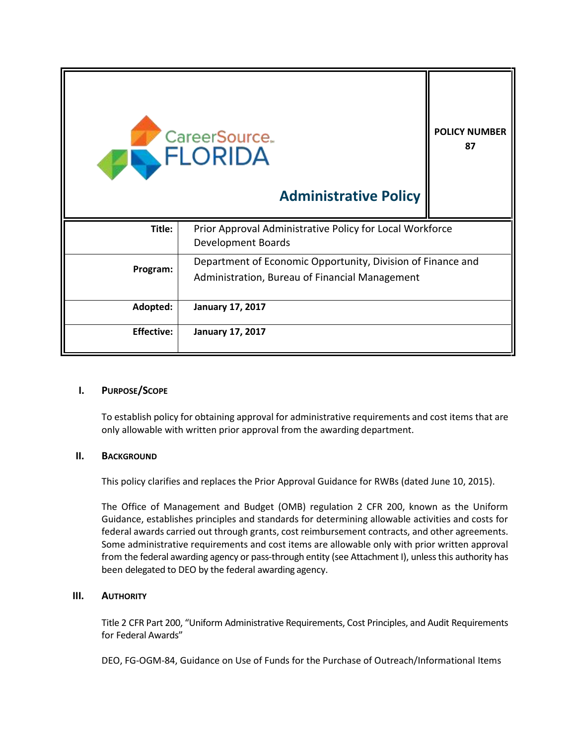| CareerSource.<br><b>ANDRIDA</b> | <b>POLICY NUMBER</b><br>87                                                                                    |  |
|---------------------------------|---------------------------------------------------------------------------------------------------------------|--|
| Title:                          | Prior Approval Administrative Policy for Local Workforce<br>Development Boards                                |  |
| Program:                        | Department of Economic Opportunity, Division of Finance and<br>Administration, Bureau of Financial Management |  |
| Adopted:                        | <b>January 17, 2017</b>                                                                                       |  |
| <b>Effective:</b>               | <b>January 17, 2017</b>                                                                                       |  |

### **I. PURPOSE/SCOPE**

To establish policy for obtaining approval for administrative requirements and cost items that are only allowable with written prior approval from the awarding department.

### **II. BACKGROUND**

This policy clarifies and replaces the Prior Approval Guidance for RWBs (dated June 10, 2015).

The Office of Management and Budget (OMB) regulation 2 CFR 200, known as the Uniform Guidance, establishes principles and standards for determining allowable activities and costs for federal awards carried out through grants, cost reimbursement contracts, and other agreements. Some administrative requirements and cost items are allowable only with prior written approval from the federal awarding agency or pass-through entity (see Attachment I), unless this authority has been delegated to DEO by the federal awarding agency.

### **III. AUTHORITY**

Title 2 CFR Part 200, "Uniform Administrative Requirements, Cost Principles, and Audit Requirements for Federal Awards"

DEO, FG-OGM-84, Guidance on Use of Funds for the Purchase of Outreach/Informational Items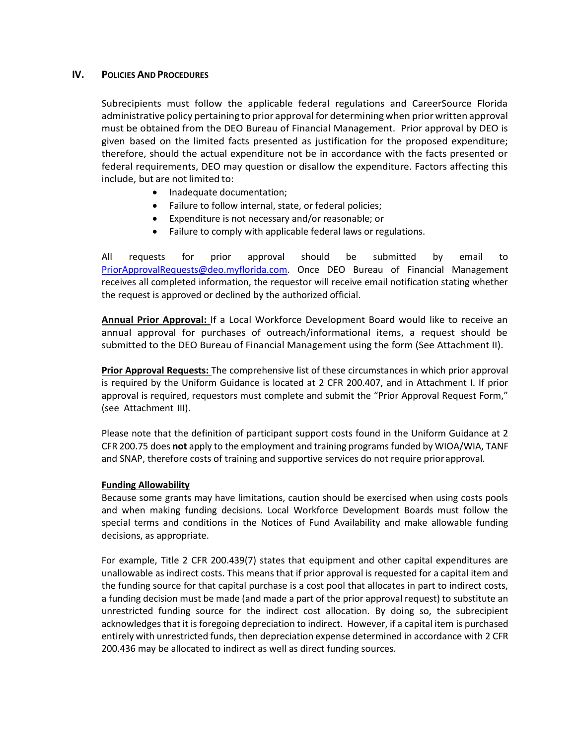### **IV. POLICIES AND PROCEDURES**

Subrecipients must follow the applicable federal regulations and CareerSource Florida administrative policy pertaining to prior approval for determiningwhen prior written approval must be obtained from the DEO Bureau of Financial Management. Prior approval by DEO is given based on the limited facts presented as justification for the proposed expenditure; therefore, should the actual expenditure not be in accordance with the facts presented or federal requirements, DEO may question or disallow the expenditure. Factors affecting this include, but are not limited to:

- Inadequate documentation;
- Failure to follow internal, state, or federal policies;
- Expenditure is not necessary and/or reasonable; or
- Failure to comply with applicable federal laws or regulations.

All requests for prior approval should be submitted by email to [PriorApprovalRequests@deo.myflorida.com.](mailto:PriorApprovalRequests@deo.myflorida.com) Once DEO Bureau of Financial Management receives all completed information, the requestor will receive email notification stating whether the request is approved or declined by the authorized official.

**Annual Prior Approval:** If a Local Workforce Development Board would like to receive an annual approval for purchases of outreach/informational items, a request should be submitted to the DEO Bureau of Financial Management using the form (See Attachment II).

**Prior Approval Requests:** The comprehensive list of these circumstances in which prior approval is required by the Uniform Guidance is located at 2 CFR 200.407, and in Attachment I. If prior approval is required, requestors must complete and submit the "Prior Approval Request Form," (see Attachment III).

Please note that the definition of participant support costs found in the Uniform Guidance at 2 CFR 200.75 does **not** apply to the employment and training programs funded by WIOA/WIA, TANF and SNAP, therefore costs of training and supportive services do not require priorapproval.

### **Funding Allowability**

Because some grants may have limitations, caution should be exercised when using costs pools and when making funding decisions. Local Workforce Development Boards must follow the special terms and conditions in the Notices of Fund Availability and make allowable funding decisions, as appropriate.

For example, Title 2 CFR 200.439(7) states that equipment and other capital expenditures are unallowable as indirect costs. This means that if prior approval is requested for a capital item and the funding source for that capital purchase is a cost pool that allocates in part to indirect costs, a funding decision must be made (and made a part of the prior approval request) to substitute an unrestricted funding source for the indirect cost allocation. By doing so, the subrecipient acknowledges that it is foregoing depreciation to indirect. However, if a capital item is purchased entirely with unrestricted funds, then depreciation expense determined in accordance with 2 CFR 200.436 may be allocated to indirect as well as direct funding sources.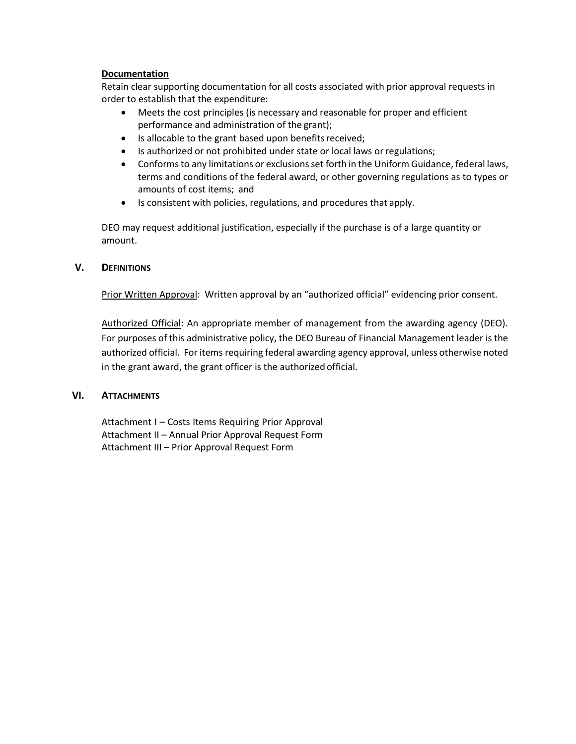### **Documentation**

Retain clear supporting documentation for all costs associated with prior approval requests in order to establish that the expenditure:

- Meets the cost principles (is necessary and reasonable for proper and efficient performance and administration of the grant);
- Is allocable to the grant based upon benefits received;
- Is authorized or not prohibited under state or local laws or regulations;
- Conformsto any limitations or exclusionsset forth in the Uniform Guidance, federal laws, terms and conditions of the federal award, or other governing regulations as to types or amounts of cost items; and
- Is consistent with policies, regulations, and procedures that apply.

DEO may request additional justification, especially if the purchase is of a large quantity or amount.

### **V. DEFINITIONS**

Prior Written Approval: Written approval by an "authorized official" evidencing prior consent.

Authorized Official: An appropriate member of management from the awarding agency (DEO). For purposes of this administrative policy, the DEO Bureau of Financial Management leader is the authorized official. For items requiring federal awarding agency approval, unless otherwise noted in the grant award, the grant officer is the authorized official.

### **VI. ATTACHMENTS**

Attachment I – Costs Items Requiring Prior Approval Attachment II – Annual Prior Approval Request Form Attachment III – Prior Approval Request Form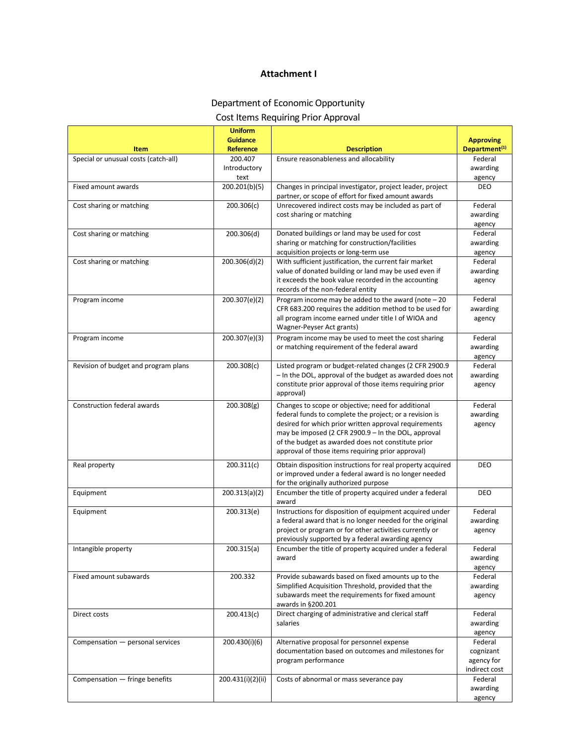### **Attachment I**

## Department of Economic Opportunity

# Cost Items Requiring Prior Approval

|                                              | <b>Uniform</b><br><b>Guidance</b> |                                                                                                                                                                                                                                                                                                                                          | <b>Approving</b>                                    |
|----------------------------------------------|-----------------------------------|------------------------------------------------------------------------------------------------------------------------------------------------------------------------------------------------------------------------------------------------------------------------------------------------------------------------------------------|-----------------------------------------------------|
| Item<br>Special or unusual costs (catch-all) | <b>Reference</b><br>200.407       | <b>Description</b><br>Ensure reasonableness and allocability                                                                                                                                                                                                                                                                             | Department <sup>(1)</sup><br>Federal                |
|                                              | Introductory<br>text              |                                                                                                                                                                                                                                                                                                                                          | awarding<br>agency                                  |
| Fixed amount awards                          | 200.201(b)(5)                     | Changes in principal investigator, project leader, project<br>partner, or scope of effort for fixed amount awards                                                                                                                                                                                                                        | <b>DEO</b>                                          |
| Cost sharing or matching                     | 200.306(c)                        | Unrecovered indirect costs may be included as part of<br>cost sharing or matching                                                                                                                                                                                                                                                        | Federal<br>awarding<br>agency                       |
| Cost sharing or matching                     | 200.306(d)                        | Donated buildings or land may be used for cost<br>sharing or matching for construction/facilities<br>acquisition projects or long-term use                                                                                                                                                                                               | Federal<br>awarding<br>agency                       |
| Cost sharing or matching                     | 200.306(d)(2)                     | With sufficient justification, the current fair market<br>value of donated building or land may be used even if<br>it exceeds the book value recorded in the accounting<br>records of the non-federal entity                                                                                                                             | Federal<br>awarding<br>agency                       |
| Program income                               | 200.307(e)(2)                     | Program income may be added to the award (note $-20$<br>CFR 683.200 requires the addition method to be used for<br>all program income earned under title I of WIOA and<br>Wagner-Peyser Act grants)                                                                                                                                      | Federal<br>awarding<br>agency                       |
| Program income                               | 200.307(e)(3)                     | Program income may be used to meet the cost sharing<br>or matching requirement of the federal award                                                                                                                                                                                                                                      | Federal<br>awarding<br>agency                       |
| Revision of budget and program plans         | 200.308(c)                        | Listed program or budget-related changes (2 CFR 2900.9<br>- In the DOL, approval of the budget as awarded does not<br>constitute prior approval of those items requiring prior<br>approval)                                                                                                                                              | Federal<br>awarding<br>agency                       |
| <b>Construction federal awards</b>           | 200.308(g)                        | Changes to scope or objective; need for additional<br>federal funds to complete the project; or a revision is<br>desired for which prior written approval requirements<br>may be imposed (2 CFR 2900.9 - In the DOL, approval<br>of the budget as awarded does not constitute prior<br>approval of those items requiring prior approval) | Federal<br>awarding<br>agency                       |
| Real property                                | 200.311(c)                        | Obtain disposition instructions for real property acquired<br>or improved under a federal award is no longer needed<br>for the originally authorized purpose                                                                                                                                                                             | <b>DEO</b>                                          |
| Equipment                                    | 200.313(a)(2)                     | Encumber the title of property acquired under a federal<br>award                                                                                                                                                                                                                                                                         | DEO                                                 |
| Equipment                                    | 200.313(e)                        | Instructions for disposition of equipment acquired under<br>a federal award that is no longer needed for the original<br>project or program or for other activities currently or<br>previously supported by a federal awarding agency                                                                                                    | Federal<br>awarding<br>agency                       |
| Intangible property                          | 200.315(a)                        | Encumber the title of property acquired under a federal<br>award                                                                                                                                                                                                                                                                         | Federal<br>awarding<br>agency                       |
| Fixed amount subawards                       | 200.332                           | Provide subawards based on fixed amounts up to the<br>Simplified Acquisition Threshold, provided that the<br>subawards meet the requirements for fixed amount<br>awards in §200.201                                                                                                                                                      | Federal<br>awarding<br>agency                       |
| Direct costs                                 | 200.413(c)                        | Direct charging of administrative and clerical staff<br>salaries                                                                                                                                                                                                                                                                         | Federal<br>awarding<br>agency                       |
| Compensation - personal services             | 200.430(i)(6)                     | Alternative proposal for personnel expense<br>documentation based on outcomes and milestones for<br>program performance                                                                                                                                                                                                                  | Federal<br>cognizant<br>agency for<br>indirect cost |
| Compensation - fringe benefits               | 200.431(i)(2)(ii)                 | Costs of abnormal or mass severance pay                                                                                                                                                                                                                                                                                                  | Federal<br>awarding<br>agency                       |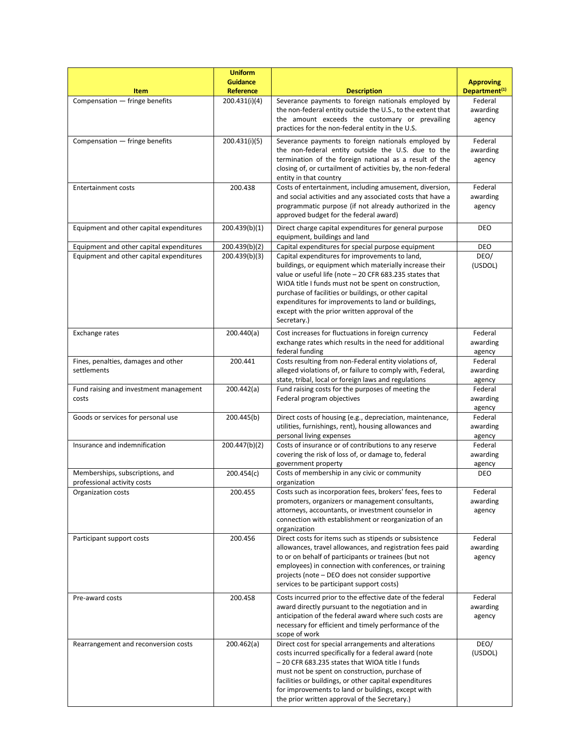| <b>Item</b>                                                                          | <b>Uniform</b><br><b>Guidance</b><br><b>Reference</b> | <b>Description</b>                                                                                                                                                                                                                                                                                                                                                                                                                                                  | <b>Approving</b><br>Department <sup>(1)</sup> |
|--------------------------------------------------------------------------------------|-------------------------------------------------------|---------------------------------------------------------------------------------------------------------------------------------------------------------------------------------------------------------------------------------------------------------------------------------------------------------------------------------------------------------------------------------------------------------------------------------------------------------------------|-----------------------------------------------|
| Compensation - fringe benefits                                                       | 200.431(i)(4)                                         | Severance payments to foreign nationals employed by<br>the non-federal entity outside the U.S., to the extent that<br>the amount exceeds the customary or prevailing<br>practices for the non-federal entity in the U.S.                                                                                                                                                                                                                                            | Federal<br>awarding<br>agency                 |
| Compensation - fringe benefits                                                       | 200.431(i)(5)                                         | Severance payments to foreign nationals employed by<br>the non-federal entity outside the U.S. due to the<br>termination of the foreign national as a result of the<br>closing of, or curtailment of activities by, the non-federal<br>entity in that country                                                                                                                                                                                                       | Federal<br>awarding<br>agency                 |
| <b>Entertainment costs</b>                                                           | 200.438                                               | Costs of entertainment, including amusement, diversion,<br>and social activities and any associated costs that have a<br>programmatic purpose (if not already authorized in the<br>approved budget for the federal award)                                                                                                                                                                                                                                           | Federal<br>awarding<br>agency                 |
| Equipment and other capital expenditures                                             | 200.439(b)(1)                                         | Direct charge capital expenditures for general purpose<br>equipment, buildings and land                                                                                                                                                                                                                                                                                                                                                                             | DEO                                           |
| Equipment and other capital expenditures<br>Equipment and other capital expenditures | 200.439(b)(2)<br>200.439(b)(3)                        | Capital expenditures for special purpose equipment<br>Capital expenditures for improvements to land,<br>buildings, or equipment which materially increase their<br>value or useful life (note - 20 CFR 683.235 states that<br>WIOA title I funds must not be spent on construction,<br>purchase of facilities or buildings, or other capital<br>expenditures for improvements to land or buildings,<br>except with the prior written approval of the<br>Secretary.) | DEO<br>DEO/<br>(USDOL)                        |
| <b>Exchange rates</b>                                                                | 200.440(a)                                            | Cost increases for fluctuations in foreign currency<br>exchange rates which results in the need for additional<br>federal funding                                                                                                                                                                                                                                                                                                                                   | Federal<br>awarding<br>agency                 |
| Fines, penalties, damages and other<br>settlements                                   | 200.441                                               | Costs resulting from non-Federal entity violations of,<br>alleged violations of, or failure to comply with, Federal,<br>state, tribal, local or foreign laws and regulations                                                                                                                                                                                                                                                                                        | Federal<br>awarding<br>agency                 |
| Fund raising and investment management<br>costs                                      | 200.442(a)                                            | Fund raising costs for the purposes of meeting the<br>Federal program objectives                                                                                                                                                                                                                                                                                                                                                                                    | Federal<br>awarding<br>agency                 |
| Goods or services for personal use                                                   | 200.445(b)                                            | Direct costs of housing (e.g., depreciation, maintenance,<br>utilities, furnishings, rent), housing allowances and<br>personal living expenses                                                                                                                                                                                                                                                                                                                      | Federal<br>awarding<br>agency                 |
| Insurance and indemnification                                                        | 200.447(b)(2)                                         | Costs of insurance or of contributions to any reserve<br>covering the risk of loss of, or damage to, federal<br>government property                                                                                                                                                                                                                                                                                                                                 | Federal<br>awarding<br>agency                 |
| Memberships, subscriptions, and<br>professional activity costs                       | 200.454(c)                                            | Costs of membership in any civic or community<br>organization                                                                                                                                                                                                                                                                                                                                                                                                       | DEO                                           |
| Organization costs                                                                   | 200.455                                               | Costs such as incorporation fees, brokers' fees, fees to<br>promoters, organizers or management consultants,<br>attorneys, accountants, or investment counselor in<br>connection with establishment or reorganization of an<br>organization                                                                                                                                                                                                                         | Federal<br>awarding<br>agency                 |
| Participant support costs                                                            | 200.456                                               | Direct costs for items such as stipends or subsistence<br>allowances, travel allowances, and registration fees paid<br>to or on behalf of participants or trainees (but not<br>employees) in connection with conferences, or training<br>projects (note – DEO does not consider supportive<br>services to be participant support costs)                                                                                                                             | Federal<br>awarding<br>agency                 |
| Pre-award costs                                                                      | 200.458                                               | Costs incurred prior to the effective date of the federal<br>award directly pursuant to the negotiation and in<br>anticipation of the federal award where such costs are<br>necessary for efficient and timely performance of the<br>scope of work                                                                                                                                                                                                                  | Federal<br>awarding<br>agency                 |
| Rearrangement and reconversion costs                                                 | 200.462(a)                                            | Direct cost for special arrangements and alterations<br>costs incurred specifically for a federal award (note<br>- 20 CFR 683.235 states that WIOA title I funds<br>must not be spent on construction, purchase of<br>facilities or buildings, or other capital expenditures<br>for improvements to land or buildings, except with<br>the prior written approval of the Secretary.)                                                                                 | DEO/<br>(USDOL)                               |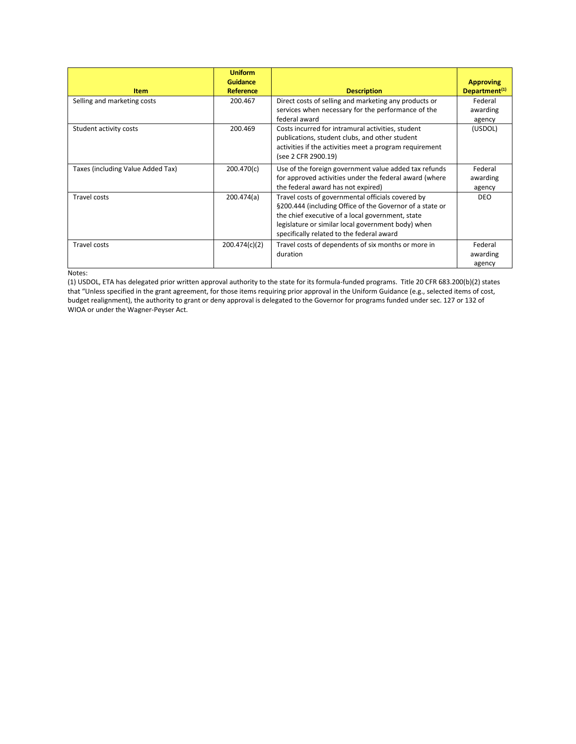|                                   | <b>Uniform</b><br><b>Guidance</b> |                                                                                                                                                                                                                                                                      | <b>Approving</b>              |
|-----------------------------------|-----------------------------------|----------------------------------------------------------------------------------------------------------------------------------------------------------------------------------------------------------------------------------------------------------------------|-------------------------------|
| <b>Item</b>                       | Reference                         | <b>Description</b>                                                                                                                                                                                                                                                   | Department <sup>(1)</sup>     |
| Selling and marketing costs       | 200.467                           | Direct costs of selling and marketing any products or<br>services when necessary for the performance of the<br>federal award                                                                                                                                         | Federal<br>awarding<br>agency |
| Student activity costs            | 200.469                           | Costs incurred for intramural activities, student<br>publications, student clubs, and other student<br>activities if the activities meet a program requirement<br>(see 2 CFR 2900.19)                                                                                | (USDOL)                       |
| Taxes (including Value Added Tax) | 200.470(c)                        | Use of the foreign government value added tax refunds<br>for approved activities under the federal award (where<br>the federal award has not expired)                                                                                                                | Federal<br>awarding<br>agency |
| Travel costs                      | 200.474(a)                        | Travel costs of governmental officials covered by<br>§200.444 (including Office of the Governor of a state or<br>the chief executive of a local government, state<br>legislature or similar local government body) when<br>specifically related to the federal award | <b>DEO</b>                    |
| Travel costs                      | 200.474(c)(2)                     | Travel costs of dependents of six months or more in<br>duration                                                                                                                                                                                                      | Federal<br>awarding<br>agency |

Notes:

(1) USDOL, ETA has delegated prior written approval authority to the state for its formula-funded programs. Title 20 CFR 683.200(b)(2) states that "Unless specified in the grant agreement, for those items requiring prior approval in the Uniform Guidance (e.g., selected items of cost, budget realignment), the authority to grant or deny approval is delegated to the Governor for programs funded under sec. 127 or 132 of WIOA or under the Wagner-Peyser Act.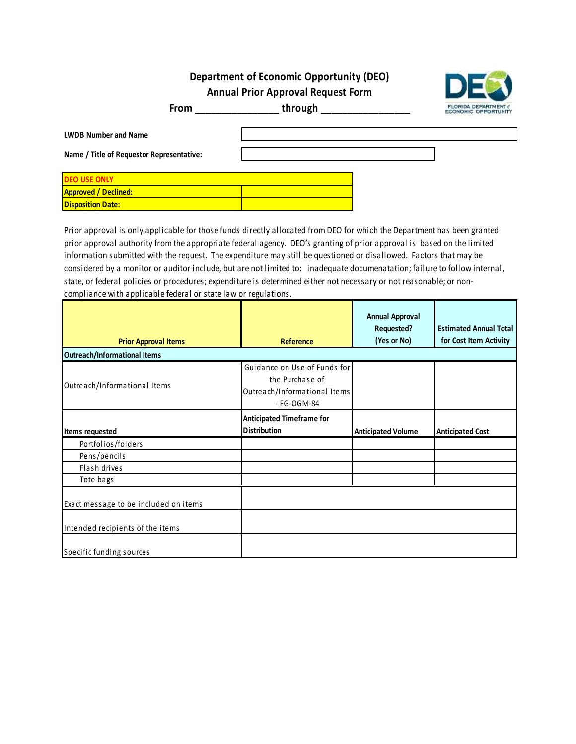# **Department of Economic Opportunity (DEO)**

**Annual Prior Approval Request Form**



**From \_\_\_\_\_\_\_\_\_\_\_\_\_\_\_\_ through \_\_\_\_\_\_\_\_\_\_\_\_\_\_\_\_\_**

| <b>LWDB Number and Name</b><br>Name / Title of Requestor Representative: |  |  |
|--------------------------------------------------------------------------|--|--|
| <b>DEO USE ONLY</b>                                                      |  |  |
| <b>Approved / Declined:</b>                                              |  |  |
| <b>Disposition Date:</b>                                                 |  |  |

Prior approval is only applicable for those funds directly allocated from DEO for which the Department has been granted prior approval authority from the appropriate federal agency. DEO's granting of prior approval is based on the limited information submitted with the request. The expenditure may still be questioned or disallowed. Factors that may be considered by a monitor or auditor include, but are not limited to: inadequate documenatation; failure to follow internal, state, or federal policies or procedures; expenditure is determined either not necessary or not reasonable; or noncompliance with applicable federal or state law or regulations.

|                                       |                                                                                                | <b>Annual Approval</b><br>Requested? | <b>Estimated Annual Total</b> |
|---------------------------------------|------------------------------------------------------------------------------------------------|--------------------------------------|-------------------------------|
| <b>Prior Approval Items</b>           | Reference                                                                                      | (Yes or No)                          | for Cost Item Activity        |
| Outreach/Informational Items          |                                                                                                |                                      |                               |
| Outreach/Informational Items          | Guidance on Use of Funds for<br>the Purchase of<br>Outreach/Informational Items<br>- FG-OGM-84 |                                      |                               |
| Items requested                       | <b>Anticipated Timeframe for</b><br><b>Distribution</b>                                        | <b>Anticipated Volume</b>            | <b>Anticipated Cost</b>       |
| Portfolios/folders                    |                                                                                                |                                      |                               |
| Pens/pencils                          |                                                                                                |                                      |                               |
| Flash drives                          |                                                                                                |                                      |                               |
| Tote bags                             |                                                                                                |                                      |                               |
| Exact message to be included on items |                                                                                                |                                      |                               |
| Intended recipients of the items      |                                                                                                |                                      |                               |
| Specific funding sources              |                                                                                                |                                      |                               |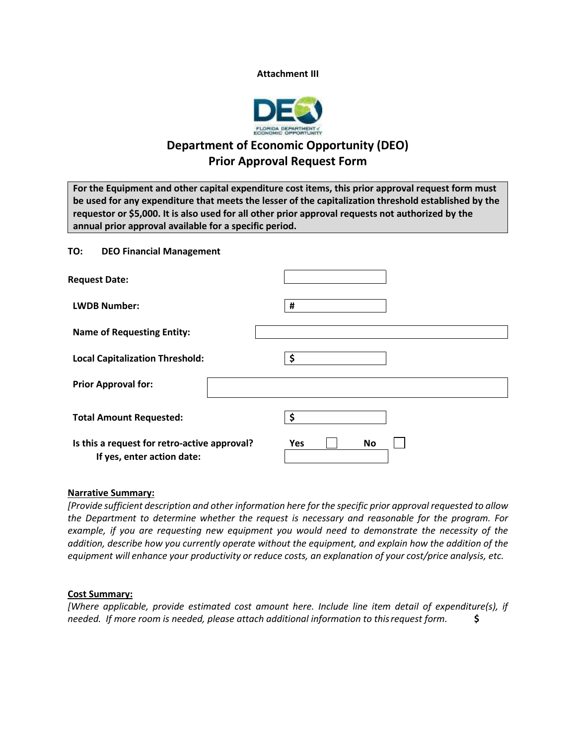### **Attachment III**



# **Department of Economic Opportunity (DEO) Prior Approval Request Form**

**For the Equipment and other capital expenditure cost items, this prior approval request form must be used for any expenditure that meets the lesser of the capitalization threshold established by the requestor or \$5,000. It is also used for all other prior approval requests not authorized by the annual prior approval available for a specific period.**

### **TO: DEO Financial Management**

| <b>Request Date:</b>                                                       |                         |
|----------------------------------------------------------------------------|-------------------------|
| <b>LWDB Number:</b>                                                        | #                       |
| <b>Name of Requesting Entity:</b>                                          |                         |
| <b>Local Capitalization Threshold:</b>                                     | Ś                       |
| <b>Prior Approval for:</b>                                                 |                         |
| <b>Total Amount Requested:</b>                                             | Ś                       |
| Is this a request for retro-active approval?<br>If yes, enter action date: | <b>Yes</b><br><b>No</b> |

### **Narrative Summary:**

*[Provide sufficient description and other information here for the specific prior approval requested to allow the Department to determine whether the request is necessary and reasonable for the program. For example, if you are requesting new equipment you would need to demonstrate the necessity of the addition, describe how you currently operate without the equipment, and explain how the addition of the equipment will enhance your productivity or reduce costs, an explanation of your cost/price analysis, etc.*

### **Cost Summary:**

*[Where applicable, provide estimated cost amount here. Include line item detail of expenditure(s), if needed. If more room is needed, please attach additional information to thisrequest form.* **\$**